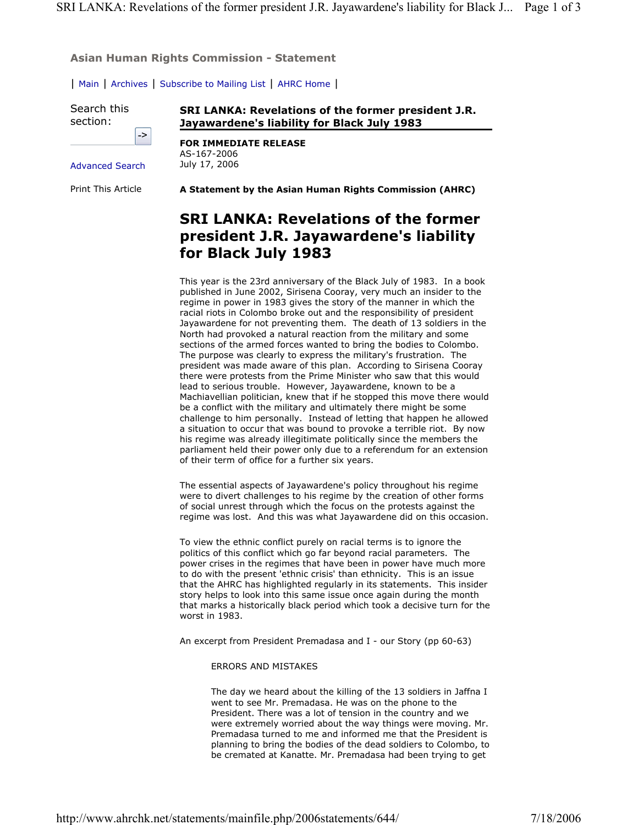**Asian Human Rights Commission - Statement**

| Main | Archives | Subscribe to Mailing List | AHRC Home |

Search this section:

**SRI LANKA: Revelations of the former president J.R. Jayawardene's liability for Black July 1983** 

|                 | -> |
|-----------------|----|
|                 |    |
| Advanced Search |    |

Print This Article

**FOR IMMEDIATE RELEASE**  AS-167-2006 July 17, 2006

**A Statement by the Asian Human Rights Commission (AHRC)**

## **SRI LANKA: Revelations of the former president J.R. Jayawardene's liability for Black July 1983**

This year is the 23rd anniversary of the Black July of 1983. In a book published in June 2002, Sirisena Cooray, very much an insider to the regime in power in 1983 gives the story of the manner in which the racial riots in Colombo broke out and the responsibility of president Jayawardene for not preventing them. The death of 13 soldiers in the North had provoked a natural reaction from the military and some sections of the armed forces wanted to bring the bodies to Colombo. The purpose was clearly to express the military's frustration. The president was made aware of this plan. According to Sirisena Cooray there were protests from the Prime Minister who saw that this would lead to serious trouble. However, Jayawardene, known to be a Machiavellian politician, knew that if he stopped this move there would be a conflict with the military and ultimately there might be some challenge to him personally. Instead of letting that happen he allowed a situation to occur that was bound to provoke a terrible riot. By now his regime was already illegitimate politically since the members the parliament held their power only due to a referendum for an extension of their term of office for a further six years.

The essential aspects of Jayawardene's policy throughout his regime were to divert challenges to his regime by the creation of other forms of social unrest through which the focus on the protests against the regime was lost. And this was what Jayawardene did on this occasion.

To view the ethnic conflict purely on racial terms is to ignore the politics of this conflict which go far beyond racial parameters. The power crises in the regimes that have been in power have much more to do with the present 'ethnic crisis' than ethnicity. This is an issue that the AHRC has highlighted regularly in its statements. This insider story helps to look into this same issue once again during the month that marks a historically black period which took a decisive turn for the worst in 1983.

An excerpt from President Premadasa and I - our Story (pp 60-63)

ERRORS AND MISTAKES

The day we heard about the killing of the 13 soldiers in Jaffna I went to see Mr. Premadasa. He was on the phone to the President. There was a lot of tension in the country and we were extremely worried about the way things were moving. Mr. Premadasa turned to me and informed me that the President is planning to bring the bodies of the dead soldiers to Colombo, to be cremated at Kanatte. Mr. Premadasa had been trying to get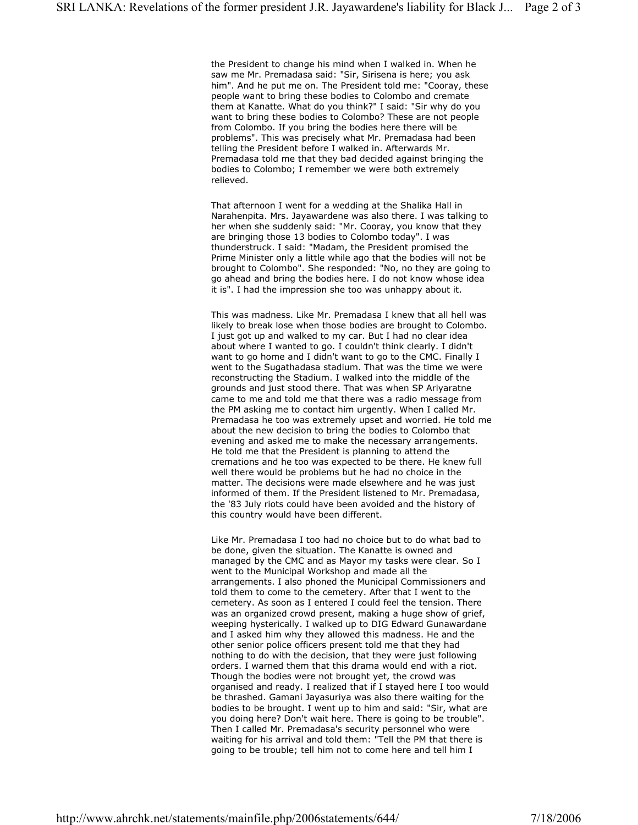the President to change his mind when I walked in. When he saw me Mr. Premadasa said: "Sir, Sirisena is here; you ask him". And he put me on. The President told me: "Cooray, these people want to bring these bodies to Colombo and cremate them at Kanatte. What do you think?" I said: "Sir why do you want to bring these bodies to Colombo? These are not people from Colombo. If you bring the bodies here there will be problems". This was precisely what Mr. Premadasa had been telling the President before I walked in. Afterwards Mr. Premadasa told me that they bad decided against bringing the bodies to Colombo; I remember we were both extremely relieved.

That afternoon I went for a wedding at the Shalika Hall in Narahenpita. Mrs. Jayawardene was also there. I was talking to her when she suddenly said: "Mr. Cooray, you know that they are bringing those 13 bodies to Colombo today". I was thunderstruck. I said: "Madam, the President promised the Prime Minister only a little while ago that the bodies will not be brought to Colombo". She responded: "No, no they are going to go ahead and bring the bodies here. I do not know whose idea it is". I had the impression she too was unhappy about it.

This was madness. Like Mr. Premadasa I knew that all hell was likely to break lose when those bodies are brought to Colombo. I just got up and walked to my car. But I had no clear idea about where I wanted to go. I couldn't think clearly. I didn't want to go home and I didn't want to go to the CMC. Finally I went to the Sugathadasa stadium. That was the time we were reconstructing the Stadium. I walked into the middle of the grounds and just stood there. That was when SP Ariyaratne came to me and told me that there was a radio message from the PM asking me to contact him urgently. When I called Mr. Premadasa he too was extremely upset and worried. He told me about the new decision to bring the bodies to Colombo that evening and asked me to make the necessary arrangements. He told me that the President is planning to attend the cremations and he too was expected to be there. He knew full well there would be problems but he had no choice in the matter. The decisions were made elsewhere and he was just informed of them. If the President listened to Mr. Premadasa, the '83 July riots could have been avoided and the history of this country would have been different.

Like Mr. Premadasa I too had no choice but to do what bad to be done, given the situation. The Kanatte is owned and managed by the CMC and as Mayor my tasks were clear. So I went to the Municipal Workshop and made all the arrangements. I also phoned the Municipal Commissioners and told them to come to the cemetery. After that I went to the cemetery. As soon as I entered I could feel the tension. There was an organized crowd present, making a huge show of grief, weeping hysterically. I walked up to DIG Edward Gunawardane and I asked him why they allowed this madness. He and the other senior police officers present told me that they had nothing to do with the decision, that they were just following orders. I warned them that this drama would end with a riot. Though the bodies were not brought yet, the crowd was organised and ready. I realized that if I stayed here I too would be thrashed. Gamani Jayasuriya was also there waiting for the bodies to be brought. I went up to him and said: "Sir, what are you doing here? Don't wait here. There is going to be trouble". Then I called Mr. Premadasa's security personnel who were waiting for his arrival and told them: "Tell the PM that there is going to be trouble; tell him not to come here and tell him I